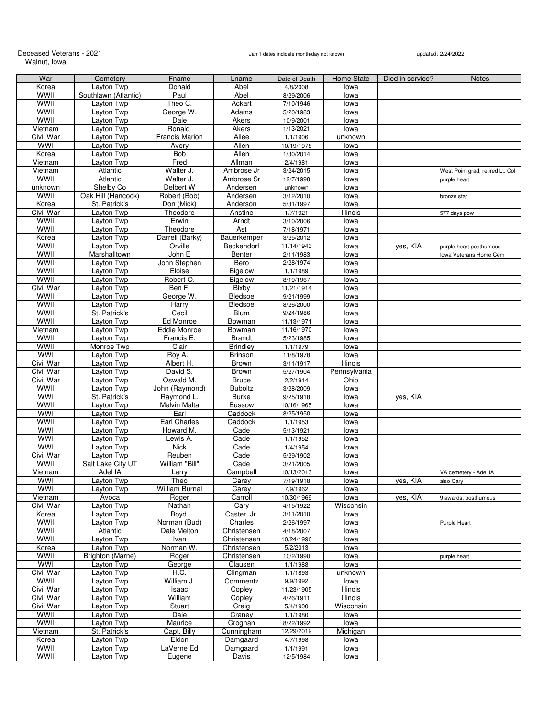# Deceased Veterans - 2021<br>Walnut, Iowa

## Jan 1 dates indicate month/day not known updated: 2/24/2022

| War              | Cemetery             | Fname                 | Lname           | Date of Death | Home State   | Died in service? | <b>Notes</b>                     |
|------------------|----------------------|-----------------------|-----------------|---------------|--------------|------------------|----------------------------------|
| Korea            | Layton Twp           | Donald                | Abel            | 4/8/2008      | lowa         |                  |                                  |
| <b>WWII</b>      | Southlawn (Atlantic) | Paul                  | Abel            | 8/29/2006     | lowa         |                  |                                  |
| WWII             | Layton Twp           | Theo C.               | Ackart          | 7/10/1946     | lowa         |                  |                                  |
| WWII             | Layton Twp           | George W.             | Adams           |               |              |                  |                                  |
|                  |                      |                       |                 | 5/20/1983     | lowa         |                  |                                  |
| WWII             | Layton Twp           | Dale                  | Akers           | 10/9/2001     | lowa         |                  |                                  |
| Vietnam          | Layton Twp           | Ronald                | Akers           | 1/13/2021     | lowa         |                  |                                  |
| Civil War        | Layton Twp           | <b>Francis Marion</b> | Allee           | 1/1/1906      | unknown      |                  |                                  |
| <b>WWI</b>       | Layton Twp           | Avery                 | Allen           | 10/19/1978    | lowa         |                  |                                  |
| Korea            | Layton Twp           | <b>Bob</b>            | Allen           | 1/30/2014     | lowa         |                  |                                  |
| Vietnam          | Layton Twp           | Fred                  | Allman          | 2/4/1981      | lowa         |                  |                                  |
| Vietnam          | Atlantic             | Walter J.             | Ambrose Jr      | 3/24/2015     | lowa         |                  | West Point grad, retired Lt. Col |
| WWII             | Atlantic             | Walter J.             | Ambrose Sr      | 12/7/1998     | lowa         |                  | purple heart                     |
| unknown          | Shelby Co            | Delbert W             | Andersen        | unknown       | lowa         |                  |                                  |
| WWII             |                      | Robert (Bob)          |                 |               |              |                  |                                  |
|                  | Oak Hill (Hancock)   |                       | Andersen        | 3/12/2010     | lowa         |                  | bronze star                      |
| Korea            | St. Patrick's        | Don (Mick)            | Anderson        | 5/31/1997     | lowa         |                  |                                  |
| <b>Civil War</b> | Layton Twp           | Theodore              | Anstine         | 1/7/1921      | Illinois     |                  | 577 days pow                     |
| WWII             | Layton Twp           | Erwin                 | Arndt           | 3/10/2006     | lowa         |                  |                                  |
| <b>WWII</b>      | Layton Twp           | Theodore              | Ast             | 7/18/1971     | lowa         |                  |                                  |
| Korea            | Layton Twp           | Darrell (Barky)       | Bauerkemper     | 3/25/2012     | lowa         |                  |                                  |
| WWII             | Layton Twp           | Orville               | Beckendorf      | 11/14/1943    | lowa         | yes, KIA         | purple heart posthumous          |
| WWII             | Marshalltown         | John E                | Benter          | 2/11/1983     | lowa         |                  | lowa Veterans Home Cem           |
| <b>WWII</b>      | Layton Twp           | John Stephen          | Bero            | 2/28/1974     | lowa         |                  |                                  |
|                  |                      |                       |                 |               |              |                  |                                  |
| WWII             | Layton Twp           | Eloise                | Bigelow         | 1/1/1989      | lowa         |                  |                                  |
| <b>WWII</b>      | Layton Twp           | Robert O.             | Bigelow         | 8/19/1967     | lowa         |                  |                                  |
| <b>Civil War</b> | Layton Twp           | Ben F.                | Bixby           | 11/21/1914    | lowa         |                  |                                  |
| WWII             | Layton Twp           | George W.             | Bledsoe         | 9/21/1999     | lowa         |                  |                                  |
| WWII             | Layton Twp           | Harry                 | <b>Bledsoe</b>  | 8/26/2000     | lowa         |                  |                                  |
| WWII             | St. Patrick's        | Cecil                 | Blum            | 9/24/1986     | lowa         |                  |                                  |
| <b>WWII</b>      | Layton Twp           | Ed Monroe             | Bowman          | 11/13/1971    | lowa         |                  |                                  |
| Vietnam          | Layton Twp           | Eddie Monroe          | Bowman          | 11/16/1970    | lowa         |                  |                                  |
| WWII             |                      |                       |                 |               |              |                  |                                  |
|                  | Layton Twp           | Francis E.            | <b>Brandt</b>   | 5/23/1985     | lowa         |                  |                                  |
| WWII             | Monroe Twp           | Clair                 | <b>Brindley</b> | 1/1/1979      | lowa         |                  |                                  |
| <b>WWI</b>       | Layton Twp           | Roy A.                | <b>Brinson</b>  | 11/8/1978     | lowa         |                  |                                  |
| Civil War        | Layton Twp           | Albert H.             | Brown           | 3/11/1917     | Illinois     |                  |                                  |
| Civil War        | Layton Twp           | David S.              | Brown           | 5/27/1904     | Pennsylvania |                  |                                  |
| Civil War        | Layton Twp           | Oswald M.             | <b>Bruce</b>    | 2/2/1914      | Ohio         |                  |                                  |
| WWII             | Layton Twp           | John (Raymond)        | <b>Buboltz</b>  | 3/28/2009     | lowa         |                  |                                  |
| <b>WWI</b>       | St. Patrick's        | Raymond L.            | <b>Burke</b>    | 9/25/1918     | lowa         | yes, KIA         |                                  |
| <b>WWII</b>      | Layton Twp           | Melvin Malta          | <b>Bussow</b>   | 10/16/1965    | lowa         |                  |                                  |
|                  |                      |                       |                 |               |              |                  |                                  |
| <b>WWI</b>       | Layton Twp           | Earl                  | Caddock         | 8/25/1950     | lowa         |                  |                                  |
| <b>WWII</b>      | Layton Twp           | Earl Charles          | Caddock         | 1/1/1953      | lowa         |                  |                                  |
| WWI              | Layton Twp           | Howard M.             | Cade            | 5/13/1921     | lowa         |                  |                                  |
| WWI              | Layton Twp           | Lewis A.              | Cade            | 1/1/1952      | lowa         |                  |                                  |
| WWI              | Layton Twp           | <b>Nick</b>           | Cade            | 1/4/1954      | lowa         |                  |                                  |
| Civil War        | Layton Twp           | Reuben                | Cade            | 5/29/1902     | lowa         |                  |                                  |
| WWII             | Salt Lake City UT    | William "Bill"        | Cade            | 3/21/2005     | lowa         |                  |                                  |
| Vietnam          | Adel IA              | Larry                 | Campbell        | 10/13/2013    | lowa         |                  | VA cemetery - Adel IA            |
|                  |                      |                       |                 |               |              |                  |                                  |
| <b>WWI</b>       | Layton Twp           | Theo                  | Carey           | 7/19/1918     | lowa         | yes, KIA         | also Cary                        |
| <b>WWI</b>       | Layton Twp           | William Burnal        | Carey           | 7/9/1962      | lowa         |                  |                                  |
| Vietnam          | Avoca                | Roger                 | Carroll         | 10/30/1969    | lowa         | yes, KIA         | 9 awards, posthumous             |
| Civil War        | Layton Twp           | Nathan                | Cary            | 4/15/1922     | Wisconsin    |                  |                                  |
| Korea            | Layton Twp           | Boyd                  | Caster, Jr.     | 3/11/2010     | lowa         |                  |                                  |
| WWII             | Layton Twp           | Norman (Bud)          | Charles         | 2/26/1997     | lowa         |                  | <b>Purple Heart</b>              |
| WWII             | Atlantic             | Dale Melton           | Christensen     | 4/18/2007     | lowa         |                  |                                  |
| WWII             | Layton Twp           | Ivan                  | Christensen     | 10/24/1996    | lowa         |                  |                                  |
| Korea            | Layton Twp           | Norman W.             | Christensen     | 5/2/2013      | lowa         |                  |                                  |
|                  |                      |                       |                 |               |              |                  |                                  |
| WWII             | Brighton (Marne)     | Roger                 | Christensen     | 10/2/1990     | lowa         |                  | purple heart                     |
| WWI              | Layton Twp           | George                | Clausen         | 1/1/1988      | lowa         |                  |                                  |
| Civil War        | Layton Twp           | H.C.                  | Clingman        | 1/1/1893      | unknown      |                  |                                  |
| WWII             | Layton Twp           | William J.            | Commentz        | 9/9/1992      | lowa         |                  |                                  |
| Civil War        | Layton Twp           | Isaac                 | Copley          | 11/23/1905    | Illinois     |                  |                                  |
| Civil War        | Layton Twp           | William               | Copley          | 4/26/1911     | Illinois     |                  |                                  |
| Civil War        | Layton Twp           | Stuart                | Craig           | 5/4/1900      | Wisconsin    |                  |                                  |
| WWII             | Layton Twp           | Dale                  | Craney          | 1/1/1980      | lowa         |                  |                                  |
|                  |                      |                       |                 |               |              |                  |                                  |
| WWII             | Layton Twp           | Maurice               | Croghan         | 8/22/1992     | lowa         |                  |                                  |
| Vietnam          | St. Patrick's        | Capt. Billy           | Cunningham      | 12/29/2019    | Michigan     |                  |                                  |
| Korea            | Layton Twp           | Eldon                 | Damgaard        | 4/7/1998      | lowa         |                  |                                  |
| WWII             | Layton Twp           | LaVerne Ed            | Damgaard        | 1/1/1991      | lowa         |                  |                                  |
| <b>WWII</b>      | Layton Twp           | Eugene                | Davis           | 12/5/1984     | lowa         |                  |                                  |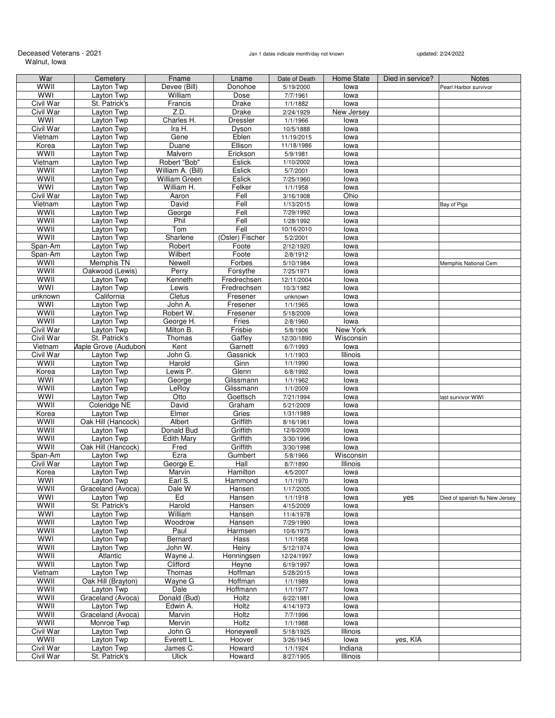Deceased Veterans - 2021 **Deceased Veterans - 2021** Jan 1 dates indicate month/day not known updated: 2/24/2022 Walnut, Iowa

| War              | Cemetery             | Fname             | Lname           | Date of Death | Home State | Died in service? | <b>Notes</b>                   |
|------------------|----------------------|-------------------|-----------------|---------------|------------|------------------|--------------------------------|
| WWII             | Layton Twp           | Devee (Bill)      | Donohoe         | 5/19/2000     | lowa       |                  | Pearl Harbor survivor          |
| <b>WWI</b>       | Layton Twp           | William           | Dose            | 7/7/1961      | lowa       |                  |                                |
| Civil War        | St. Patrick's        | Francis           | Drake           | 1/1/1882      | lowa       |                  |                                |
| Civil War        | Layton Twp           | Z.D.              | Drake           | 2/24/1929     | New Jersey |                  |                                |
| WWI              |                      |                   | Dressler        |               |            |                  |                                |
|                  | Layton Twp           | Charles H.        |                 | 1/1/1966      | lowa       |                  |                                |
| Civil War        | Layton Twp           | Ira H.            | Dyson           | 10/5/1888     | lowa       |                  |                                |
| Vietnam          | Layton Twp           | Gene              | Eblen           | 11/19/2015    | lowa       |                  |                                |
| Korea            | Layton Twp           | Duane             | Ellison         | 11/18/1986    | lowa       |                  |                                |
| WWII             | Layton Twp           | Malvern           | Erickson        | 5/9/1981      | lowa       |                  |                                |
| Vietnam          | Layton Twp           | Robert "Bob"      | Eslick          | 1/10/2002     | lowa       |                  |                                |
| WWII             | Layton Twp           | William A. (Bill) | Eslick          | 5/7/2001      | lowa       |                  |                                |
| WWII             | Layton Twp           | William Green     | Eslick          | 7/25/1960     | lowa       |                  |                                |
| <b>WWI</b>       | Layton Twp           | William H.        | Felker          | 1/1/1958      | lowa       |                  |                                |
| <b>Civil War</b> | Layton Twp           | Aaron             | Fell            | 3/16/1908     | Ohio       |                  |                                |
|                  | Layton Twp           |                   |                 |               |            |                  |                                |
| Vietnam          |                      | David             | Fell            | 1/13/2015     | lowa       |                  | Bay of Pigs                    |
| WWII             | Layton Twp           | George            | Fell            | 7/29/1992     | lowa       |                  |                                |
| WWII             | Layton Twp           | Phil              | Fell            | 1/28/1992     | lowa       |                  |                                |
| WWII             | Layton Twp           | Tom               | Fell            | 10/16/2010    | lowa       |                  |                                |
| <b>WWII</b>      | Layton Twp           | Sharlene          | (Osler) Fischer | 5/2/2001      | lowa       |                  |                                |
| Span-Am          | Layton Twp           | Robert            | Foote           | 2/12/1920     | lowa       |                  |                                |
| Span-Am          | Layton Twp           | Wilbert           | Foote           | 2/8/1912      | lowa       |                  |                                |
| WWII             | Memphis TN           | Newell            | Forbes          | 5/10/1984     | lowa       |                  | Memphis National Cem           |
| WWII             | Oakwood (Lewis)      | Perry             | Forsythe        | 7/25/1971     | lowa       |                  |                                |
|                  |                      |                   |                 |               |            |                  |                                |
| <b>WWII</b>      | Layton Twp           | Kenneth           | Fredrechsen     | 12/11/2004    | lowa       |                  |                                |
| <b>WWI</b>       | Layton Twp           | Lewis             | Fredrechsen     | 10/3/1982     | lowa       |                  |                                |
| unknown          | California           | Cletus            | Fresener        | unknown       | lowa       |                  |                                |
| <b>WWI</b>       | Layton Twp           | John A.           | Fresener        | 1/1/1965      | lowa       |                  |                                |
| WWII             | Layton Twp           | Robert W.         | Fresener        | 5/18/2009     | lowa       |                  |                                |
| WWII             | Layton Twp           | George H.         | Fries           | 2/8/1960      | lowa       |                  |                                |
| <b>Civil War</b> | Layton Twp           | Milton B.         | Frisbie         | 5/8/1906      | New York   |                  |                                |
| Civil War        | St. Patrick's        | Thomas            | Gaffey          | 12/30/1890    | Wisconsin  |                  |                                |
|                  |                      |                   |                 |               |            |                  |                                |
| Vietnam          | Maple Grove (Audubon | Kent              | Garnett         | 6/7/1993      | lowa       |                  |                                |
| <b>Civil War</b> | Layton Twp           | John G.           | Gassnick        | 1/1/1903      | Illinois   |                  |                                |
| WWII             | Layton Twp           | Harold            | Ginn            | 1/1/1990      | lowa       |                  |                                |
| Korea            | Layton Twp           | Lewis P.          | Glenn           | 6/8/1992      | lowa       |                  |                                |
| <b>WWI</b>       | Layton Twp           | George            | Glissmann       | 1/1/1962      | lowa       |                  |                                |
| WWII             | Layton Twp           | LeRoy             | Glissmann       | 1/1/2009      | lowa       |                  |                                |
| <b>WWI</b>       | Layton Twp           | Otto              | Goettsch        | 7/21/1994     | lowa       |                  | last survivor WWI              |
| <b>WWII</b>      | Coleridge NE         | David             | Graham          | 5/21/2009     | lowa       |                  |                                |
| Korea            | Layton Twp           | Elmer             | Gries           | 1/31/1989     | lowa       |                  |                                |
| WWII             | Oak Hill (Hancock)   | Albert            | Griffith        | 8/16/1961     | lowa       |                  |                                |
|                  |                      |                   |                 |               |            |                  |                                |
| WWII             | Layton Twp           | Donald Bud        | Griffith        | 12/6/2009     | lowa       |                  |                                |
| WWII             | Layton Twp           | Edith Mary        | Griffith        | 3/30/1996     | lowa       |                  |                                |
| WWII             | Oak Hill (Hancock)   | Fred              | Griffith        | 3/30/1998     | lowa       |                  |                                |
| Span-Am          | Layton Twp           | Ezra              | Gumbert         | 5/8/1966      | Wisconsin  |                  |                                |
| Civil War        | Layton Twp           | George E.         | Hall            | 8/7/1890      | Illinois   |                  |                                |
| Korea            | Layton Twp           | Marvin            | Hamilton        | 4/5/2007      | lowa       |                  |                                |
| <b>WWI</b>       | Layton Twp           | Earl S.           | Hammond         | 1/1/1970      | lowa       |                  |                                |
| wwii             | Graceland (Avoca)    | Dale W            | Hansen          | 1/17/2005     | lowa       |                  |                                |
| <b>WWI</b>       | Layton Twp           | Ed                | Hansen          | 1/1/1918      | lowa       |                  |                                |
|                  |                      |                   |                 |               |            | yes              | Died of spanish flu New Jersey |
| WWII             | St. Patrick's        | Harold            | Hansen          | 4/15/2009     | lowa       |                  |                                |
| <b>WWI</b>       | Layton Twp           | William           | Hansen          | 11/4/1978     | lowa       |                  |                                |
| WWII             | Layton Twp           | Woodrow           | Hansen          | 7/29/1990     | lowa       |                  |                                |
| WWII             | Layton Twp           | Paul              | Harmsen         | 10/6/1975     | lowa       |                  |                                |
| <b>WWI</b>       | Layton Twp           | Bernard           | Hass            | 1/1/1958      | lowa       |                  |                                |
| WWII             | Layton Twp           | John W.           | Heiny           | 5/12/1974     | lowa       |                  |                                |
| WWII             | Atlantic             | Wayne J.          | Henningsen      | 12/24/1997    | lowa       |                  |                                |
| <b>WWII</b>      | Layton Twp           | Clifford          | Heyne           | 6/19/1997     | lowa       |                  |                                |
| Vietnam          | Layton Twp           | Thomas            | Hoffman         | 5/28/2015     | lowa       |                  |                                |
| WWII             | Oak Hill (Brayton)   | Wayne G           | Hoffman         |               |            |                  |                                |
|                  |                      |                   |                 | 1/1/1989      | lowa       |                  |                                |
| <b>WWII</b>      | Layton Twp           | Dale              | Hoffmann        | 1/1/1977      | lowa       |                  |                                |
| WWII             | Graceland (Avoca)    | Donald (Bud)      | Holtz           | 6/22/1981     | lowa       |                  |                                |
| <b>WWII</b>      | Layton Twp           | Edwin A.          | Holtz           | 4/14/1973     | lowa       |                  |                                |
| <b>WWII</b>      | Graceland (Avoca)    | Marvin            | <b>Holtz</b>    | 7/7/1996      | lowa       |                  |                                |
| WWII             | Monroe Twp           | Mervin            | Holtz           | 1/1/1988      | lowa       |                  |                                |
| Civil War        | Layton Twp           | John G            | Honeywell       | 5/18/1925     | Illinois   |                  |                                |
| WWII             | Layton Twp           | Everett L.        | Hoover          | 3/26/1945     | lowa       | yes, KIA         |                                |
| Civil War        | Layton Twp           | James C.          | Howard          | 1/1/1924      | Indiana    |                  |                                |
|                  |                      |                   |                 |               |            |                  |                                |
| Civil War        | St. Patrick's        | <b>Ulick</b>      | Howard          | 8/27/1905     | Illinois   |                  |                                |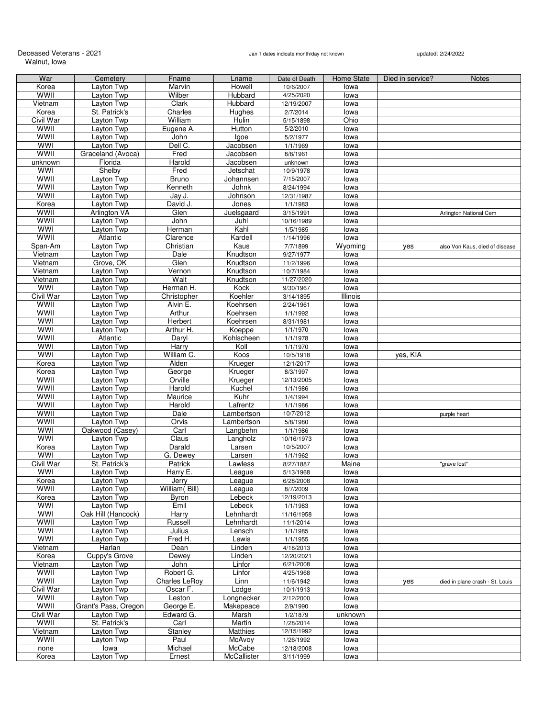### Deceased Veterans - 2021 **Deceased Veterans - 2021** Jan 1 dates indicate month/day not known updated: 2/24/2022 Walnut, Iowa

| War              | Cemetery             | Fname          | Lname           | Date of Death | Home State | Died in service? | <b>Notes</b>                    |
|------------------|----------------------|----------------|-----------------|---------------|------------|------------------|---------------------------------|
| Korea            | Layton Twp           | Marvin         | Howell          | 10/6/2007     | lowa       |                  |                                 |
| <b>WWII</b>      | Layton Twp           | Wilber         | Hubbard         | 4/25/2020     | lowa       |                  |                                 |
| Vietnam          | Layton Twp           | Clark          | Hubbard         | 12/19/2007    | lowa       |                  |                                 |
| Korea            | St. Patrick's        | Charles        | Hughes          | 2/7/2014      | lowa       |                  |                                 |
| <b>Civil War</b> | Layton Twp           | William        | Hulin           | 5/15/1898     | Ohio       |                  |                                 |
| WWII             | Layton Twp           | Eugene A.      | Hutton          | 5/2/2010      | lowa       |                  |                                 |
| WWII             | Layton Twp           | John           | lgoe            | 5/2/1977      | lowa       |                  |                                 |
| <b>WWI</b>       | Layton Twp           | Dell C.        | Jacobsen        | 1/1/1969      | lowa       |                  |                                 |
| <b>WWII</b>      | Graceland (Avoca)    | Fred           | Jacobsen        | 8/8/1961      | lowa       |                  |                                 |
| unknown          | Florida              | Harold         | Jacobsen        | unknown       | lowa       |                  |                                 |
| <b>WWI</b>       | Shelby               | Fred           | Jetschat        | 10/9/1978     | lowa       |                  |                                 |
| WWII             | Layton Twp           | Bruno          | Johannsen       | 7/15/2007     | lowa       |                  |                                 |
| <b>WWII</b>      | Layton Twp           | Kenneth        | Johnk           | 8/24/1994     | lowa       |                  |                                 |
| WWII             | Layton Twp           |                | Johnson         | 12/31/1987    |            |                  |                                 |
|                  |                      | Jay J.         |                 |               | lowa       |                  |                                 |
| Korea<br>WWII    | Layton Twp           | David J.       | Jones           | 1/1/1983      | lowa       |                  |                                 |
|                  | Arlington VA         | Glen           | Juelsgaard      | 3/15/1991     | lowa       |                  | Arlington National Cem          |
| WWII             | Layton Twp           | John           | Juhl            | 10/16/1989    | lowa       |                  |                                 |
| <b>WWI</b>       | Layton Twp           | Herman         | Kahl            | 1/5/1985      | lowa       |                  |                                 |
| WWII             | Atlantic             | Clarence       | Kardell         | 1/14/1996     | lowa       |                  |                                 |
| Span-Am          | Layton Twp           | Christian      | Kaus            | 7/7/1899      | Wyoming    | yes              | also Von Kaus, died of disease  |
| Vietnam          | Layton Twp           | Dale           | Knudtson        | 9/27/1977     | lowa       |                  |                                 |
| Vietnam          | Grove, OK            | Glen           | Knudtson        | 11/2/1996     | lowa       |                  |                                 |
| Vietnam          | Layton Twp           | Vernon         | Knudtson        | 10/7/1984     | lowa       |                  |                                 |
| Vietnam          | Layton Twp           | Walt           | Knudtson        | 11/27/2020    | lowa       |                  |                                 |
| <b>WWI</b>       | Layton Twp           | Herman H.      | Kock            | 9/30/1967     | lowa       |                  |                                 |
| Civil War        | Layton Twp           | Christopher    | Koehler         | 3/14/1895     | Illinois   |                  |                                 |
| WWII             | Layton Twp           | Alvin E.       | Koehrsen        | 2/24/1961     | lowa       |                  |                                 |
| WWII             | Layton Twp           | Arthur         | Koehrsen        | 1/1/1992      | lowa       |                  |                                 |
| WWI              | Layton Twp           | Herbert        | Koehrsen        | 8/31/1981     | lowa       |                  |                                 |
| <b>WWI</b>       | Layton Twp           | Arthur H.      | Koeppe          | 1/1/1970      | lowa       |                  |                                 |
| WWII             | Atlantic             | Daryl          | Kohlscheen      | 1/1/1978      | lowa       |                  |                                 |
| WWI              | Layton Twp           | <b>Harry</b>   | Koll            | 1/1/1970      | lowa       |                  |                                 |
| <b>WWI</b>       | Layton Twp           | William C.     | Koos            | 10/5/1918     | lowa       | yes, KIA         |                                 |
| Korea            | Layton Twp           | Alden          | Krueger         | 12/1/2017     | lowa       |                  |                                 |
| Korea            | Layton Twp           | George         | Krueger         | 8/3/1997      | lowa       |                  |                                 |
| <b>WWII</b>      | Layton Twp           | Orville        | Krueger         | 12/13/2005    | lowa       |                  |                                 |
| WWII             | Layton Twp           | Harold         | Kuchel          | 1/1/1986      | lowa       |                  |                                 |
| <b>WWII</b>      | Layton Twp           | Maurice        | Kuhr            | 1/4/1994      | lowa       |                  |                                 |
|                  |                      |                |                 |               |            |                  |                                 |
| <b>WWII</b>      | Layton Twp           | Harold         | Lafrentz        | 1/1/1986      | lowa       |                  |                                 |
| WWII             | Layton Twp           | Dale           | Lambertson      | 10/7/2012     | lowa       |                  | purple heart                    |
| <b>WWII</b>      | Layton Twp           | Orvis          | Lambertson      | 5/8/1980      | lowa       |                  |                                 |
| WWI              | Oakwood (Casey)      | Carl           | Langbehn        | 1/1/1986      | lowa       |                  |                                 |
| WWI              | Layton Twp           | Claus          | Langholz        | 10/16/1973    | lowa       |                  |                                 |
| Korea            | Layton Twp           | Darald         | Larsen          | 10/5/2007     | lowa       |                  |                                 |
| WWI              | Layton Twp           | G. Dewey       | Larsen          | 1/1/1962      | lowa       |                  |                                 |
| Civil War        | St. Patrick's        | Patrick        | Lawless         | 8/27/1887     | Maine      |                  | 'grave lost"                    |
| <b>WWI</b>       | Layton Twp           | Harry E.       | League          | 5/13/1968     | lowa       |                  |                                 |
| Korea            | Layton Twp           | Jerry          | League          | 6/28/2008     | lowa       |                  |                                 |
| WWII             | Layton Twp           | William (Bill) | League          | 8/7/2009      | lowa       |                  |                                 |
| Korea            | Layton Twp           | Byron          | Lebeck          | 12/19/2013    | lowa       |                  |                                 |
| WWI              | Layton Twp           | Emil           | Lebeck          | 1/1/1983      | lowa       |                  |                                 |
| <b>WWI</b>       | Oak Hill (Hancock)   | Harry          | Lehnhardt       | 11/16/1958    | lowa       |                  |                                 |
| WWII             | Layton Twp           | Russell        | Lehnhardt       | 11/1/2014     | lowa       |                  |                                 |
| WWI              | Layton Twp           | Julius         | Lensch          | 1/1/1985      | lowa       |                  |                                 |
| <b>WWI</b>       | Layton Twp           | Fred H.        | Lewis           | 1/1/1955      | lowa       |                  |                                 |
| Vietnam          | Harlan               | Dean           | Linden          | 4/18/2013     | lowa       |                  |                                 |
| Korea            | Cuppy's Grove        | Dewey          | Linden          | 12/20/2021    | lowa       |                  |                                 |
| Vietnam          | Layton Twp           | John           | Linfor          | 6/21/2008     | lowa       |                  |                                 |
| WWII             | Layton Twp           | Robert G.      | Linfor          | 4/25/1968     | lowa       |                  |                                 |
| <b>WWII</b>      | Layton Twp           | Charles LeRoy  | Linn            | 11/6/1942     | lowa       |                  | died in plane crash - St. Louis |
| Civil War        | Layton Twp           | Oscar F.       | Lodge           | 10/1/1913     | lowa       | yes              |                                 |
| WWII             | Layton Twp           | Leston         | Longnecker      |               |            |                  |                                 |
| <b>WWII</b>      |                      |                |                 | 2/12/2000     | lowa       |                  |                                 |
|                  | Grant's Pass, Oregon | George E.      | Makepeace       | 2/9/1990      | lowa       |                  |                                 |
| Civil War        | Layton Twp           | Edward G.      | Marsh           | 1/2/1879      | unknown    |                  |                                 |
| WWII             | St. Patrick's        | Carl           | Martin          | 1/28/2014     | lowa       |                  |                                 |
| Vietnam          | Layton Twp           | Stanley        | <b>Matthies</b> | 12/15/1992    | lowa       |                  |                                 |
| WWII             | Layton Twp           | Paul           | McAvoy          | 1/26/1992     | lowa       |                  |                                 |
| none             | lowa                 | Michael        | McCabe          | 12/18/2008    | lowa       |                  |                                 |
| Korea            | Layton Twp           | Ernest         | McCallister     | 3/11/1999     | lowa       |                  |                                 |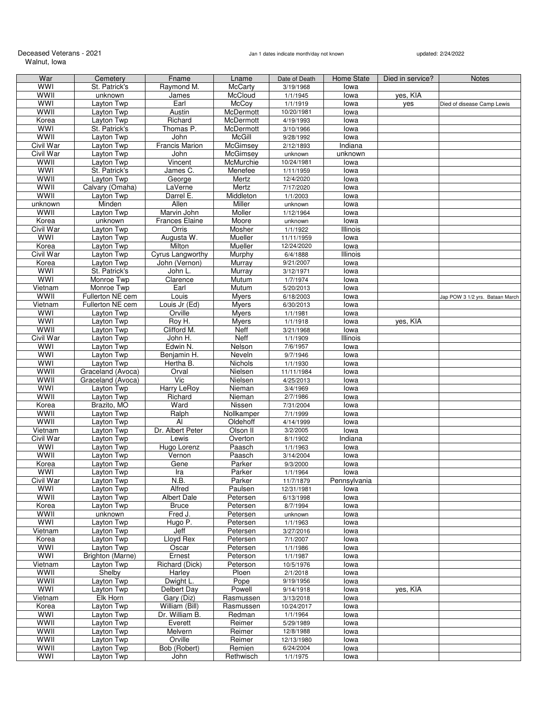### Deceased Veterans - 2021 **Deceased Veterans - 2021** Jan 1 dates indicate month/day not known updated: 2/24/2022 Walnut, Iowa

| War              |                   |                       |                 |               |              |                  |                                 |
|------------------|-------------------|-----------------------|-----------------|---------------|--------------|------------------|---------------------------------|
|                  | Cemetery          | Fname                 | Lname           | Date of Death | Home State   | Died in service? | <b>Notes</b>                    |
| WWI              | St. Patrick's     | Raymond M.            | <b>McCarty</b>  | 3/19/1968     | lowa         |                  |                                 |
| WWII             | unknown           | James                 | McCloud         | 1/1/1945      | lowa         | yes, KIA         |                                 |
| <b>WWI</b>       | Layton Twp        | Earl                  | McCoy           | 1/1/1919      | lowa         | yes              | Died of disease Camp Lewis      |
|                  |                   |                       |                 |               |              |                  |                                 |
| WWII             | Layton Twp        | Austin                | McDermott       | 10/20/1981    | lowa         |                  |                                 |
| Korea            | Layton Twp        | Richard               | McDermott       | 4/19/1993     | lowa         |                  |                                 |
| WWI              | St. Patrick's     | Thomas P.             | McDermott       | 3/10/1966     | lowa         |                  |                                 |
| <b>WWII</b>      | Layton Twp        | John                  | McGill          | 9/28/1992     | lowa         |                  |                                 |
|                  |                   |                       |                 |               |              |                  |                                 |
| <b>Civil War</b> | Layton Twp        | <b>Francis Marion</b> | McGimsey        | 2/12/1893     | Indiana      |                  |                                 |
| Civil War        | Layton Twp        | John                  | <b>McGimsey</b> | unknown       | unknown      |                  |                                 |
| WWII             | Layton Twp        | Vincent               | McMurchie       | 10/24/1981    | lowa         |                  |                                 |
| WWI              |                   |                       |                 |               |              |                  |                                 |
|                  | St. Patrick's     | James C.              | Menefee         | 1/11/1959     | lowa         |                  |                                 |
| WWII             | Layton Twp        | George                | Mertz           | 12/4/2020     | lowa         |                  |                                 |
| <b>WWII</b>      | Calvary (Omaha)   | LaVerne               | Mertz           | 7/17/2020     | lowa         |                  |                                 |
| WWII             | Layton Twp        | Darrel E.             | Middleton       | 1/1/2003      | lowa         |                  |                                 |
|                  |                   |                       |                 |               |              |                  |                                 |
| unknown          | Minden            | Allen                 | Miller          | unknown       | lowa         |                  |                                 |
| WWII             | Layton Twp        | Marvin John           | Moller          | 1/12/1964     | lowa         |                  |                                 |
| Korea            | unknown           | <b>Frances Elaine</b> | Moore           | unknown       | lowa         |                  |                                 |
| Civil War        | Layton Twp        | Orris                 | Mosher          | 1/1/1922      | Illinois     |                  |                                 |
|                  |                   |                       |                 |               |              |                  |                                 |
| <b>WWI</b>       | Layton Twp        | Augusta W.            | Mueller         | 11/11/1959    | lowa         |                  |                                 |
| Korea            | Layton Twp        | Milton                | Mueller         | 12/24/2020    | lowa         |                  |                                 |
| Civil War        | Layton Twp        | Cyrus Langworthy      | Murphy          | 6/4/1888      | Illinois     |                  |                                 |
|                  |                   |                       |                 |               |              |                  |                                 |
| Korea            | Layton Twp        | John (Vernon)         | Murray          | 9/21/2007     | lowa         |                  |                                 |
| WWI              | St. Patrick's     | John L.               | Murray          | 3/12/1971     | lowa         |                  |                                 |
| <b>WWI</b>       | Monroe Twp        | Clarence              | Mutum           | 1/7/1974      | lowa         |                  |                                 |
| Vietnam          | Monroe Twp        | Earl                  | Mutum           | 5/20/2013     | lowa         |                  |                                 |
|                  |                   |                       |                 |               |              |                  |                                 |
| WWII             | Fullerton NE cem  | Louis                 | <b>Myers</b>    | 6/18/2003     | lowa         |                  | Jap POW 3 1/2 yrs. Bataan March |
| Vietnam          | Fullerton NE cem  | Louis Jr (Ed)         | <b>Myers</b>    | 6/30/2013     | lowa         |                  |                                 |
| WWI              | Layton Twp        | Orville               | <b>Myers</b>    | 1/1/1981      | lowa         |                  |                                 |
| <b>WWI</b>       |                   |                       |                 |               |              |                  |                                 |
|                  | Layton Twp        | Roy H.                | <b>Myers</b>    | 1/1/1918      | lowa         | yes, KIA         |                                 |
| <b>WWII</b>      | Layton Twp        | Clifford M.           | Neff            | 3/21/1968     | lowa         |                  |                                 |
| Civil War        | Layton Twp        | John H.               | Neff            | 1/1/1909      | Illinois     |                  |                                 |
| WWI              | Layton Twp        | Edwin N.              | Nelson          | 7/6/1957      | lowa         |                  |                                 |
|                  |                   |                       |                 |               |              |                  |                                 |
| WWI              | Layton Twp        | Benjamin H.           | Neveln          | 9/7/1946      | lowa         |                  |                                 |
| WWI              | Layton Twp        | Hertha B.             | Nichols         | 1/1/1930      | lowa         |                  |                                 |
| WWII             | Graceland (Avoca) | Orval                 | Nielsen         | 11/11/1984    | lowa         |                  |                                 |
| <b>WWII</b>      | Graceland (Avoca) | Vic                   | Nielsen         |               |              |                  |                                 |
|                  |                   |                       |                 | 4/25/2013     | lowa         |                  |                                 |
| WWI              | Layton Twp        | Harry LeRoy           | Nieman          | 3/4/1969      | lowa         |                  |                                 |
| WWII             | Layton Twp        | Richard               | Nieman          | 2/7/1986      | lowa         |                  |                                 |
| Korea            | Brazito, MO       | Ward                  | Nissen          | 7/31/2004     | lowa         |                  |                                 |
|                  |                   |                       |                 |               |              |                  |                                 |
| WWII             | Layton Twp        | Ralph                 | Nollkamper      | 7/1/1999      | lowa         |                  |                                 |
| <b>WWII</b>      | Layton Twp        | Al                    | Oldehoff        | 4/14/1999     | lowa         |                  |                                 |
| Vietnam          | Layton Twp        | Dr. Albert Peter      | Olson II        | 3/2/2005      | lowa         |                  |                                 |
| Civil War        | Layton Twp        | Lewis                 | Overton         |               |              |                  |                                 |
|                  |                   |                       |                 | 8/1/1902      | Indiana      |                  |                                 |
| <b>WWI</b>       | Layton Twp        | Hugo Lorenz           | Paasch          | 1/1/1963      | lowa         |                  |                                 |
| WWII             | Layton Twp        | Vernon                | Paasch          | 3/14/2004     | lowa         |                  |                                 |
| Korea            | Layton Twp        | Gene                  | Parker          | 9/3/2000      | lowa         |                  |                                 |
|                  |                   |                       |                 |               |              |                  |                                 |
| WWI              | Layton Twp        | Ira                   | Parker          | 1/1/1964      | lowa         |                  |                                 |
| Civil War        | Layton Twp        | N.B.                  | Parker          | 11/7/1879     | Pennsylvania |                  |                                 |
| <b>WWI</b>       | Layton Twp        | Alfred                | Paulsen         | 12/31/1981    | lowa         |                  |                                 |
| <b>WWII</b>      | Layton Twp        | <b>Albert Dale</b>    | Petersen        | 6/13/1998     | lowa         |                  |                                 |
|                  |                   |                       |                 |               |              |                  |                                 |
| Korea            | Layton Twp        | Bruce                 | Petersen        | 8/7/1994      | lowa         |                  |                                 |
| WWII             | unknown           | Fred J.               | Petersen        | unknown       | lowa         |                  |                                 |
| WWI              | Layton Twp        | Hugo P.               | Petersen        | 1/1/1963      | lowa         |                  |                                 |
| Vietnam          | Layton Twp        | Jeff                  | Petersen        | 3/27/2016     | lowa         |                  |                                 |
|                  |                   |                       |                 |               |              |                  |                                 |
| Korea            | Layton Twp        | Lloyd Rex             | Petersen        | 7/1/2007      | lowa         |                  |                                 |
| WWI              | Layton Twp        | Oscar                 | Petersen        | 1/1/1986      | lowa         |                  |                                 |
| WWI              | Brighton (Marne)  | Ernest                | Peterson        | 1/1/1987      | lowa         |                  |                                 |
| Vietnam          | Layton Twp        | Richard (Dick)        | Peterson        |               |              |                  |                                 |
|                  |                   |                       |                 | 10/5/1976     | lowa         |                  |                                 |
| <b>WWII</b>      | Shelby            | Harley                | Ploen           | 2/1/2018      | lowa         |                  |                                 |
| WWII             | Layton Twp        | Dwight L.             | Pope            | 9/19/1956     | lowa         |                  |                                 |
| <b>WWI</b>       | Layton Twp        | Delbert Day           | Powell          | 9/14/1918     | lowa         | yes, KIA         |                                 |
|                  |                   |                       |                 |               |              |                  |                                 |
| Vietnam          | Elk Horn          | Gary (Diz)            | Rasmussen       | 3/13/2018     | lowa         |                  |                                 |
| Korea            | Layton Twp        | William (Bill)        | Rasmussen       | 10/24/2017    | lowa         |                  |                                 |
| <b>WWI</b>       | Layton Twp        | Dr. William B.        | Redman          | 1/1/1964      | lowa         |                  |                                 |
| WWII             | Layton Twp        | Everett               | Reimer          | 5/29/1989     | lowa         |                  |                                 |
|                  |                   |                       |                 |               |              |                  |                                 |
| WWII             | Layton Twp        | Melvern               | Reimer          | 12/8/1988     | lowa         |                  |                                 |
| WWII             | Layton Twp        | Orville               | Reimer          | 12/13/1980    | lowa         |                  |                                 |
| WWII             | Layton Twp        | Bob (Robert)          | Remien          | 6/24/2004     | lowa         |                  |                                 |
| <b>WWI</b>       | Layton Twp        |                       |                 |               |              |                  |                                 |
|                  |                   | John                  | Rethwisch       | 1/1/1975      | lowa         |                  |                                 |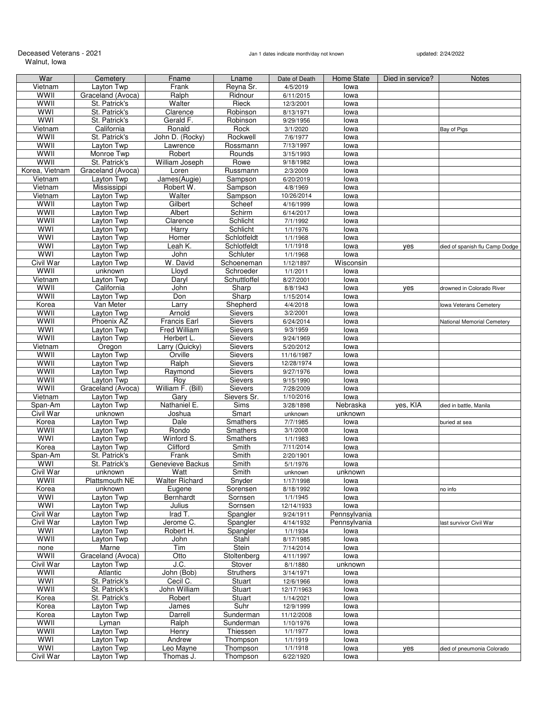# Deceased Veterans - 2021<br>Walnut, Iowa

## Jan 1 dates indicate month/day not known updated: 2/24/2022

| War              | Cemetery                  | Fname                           | Lname              | Date of Death           | Home State   | Died in service? | <b>Notes</b>                   |
|------------------|---------------------------|---------------------------------|--------------------|-------------------------|--------------|------------------|--------------------------------|
| Vietnam          | Layton Twp                | Frank                           | Reyna Sr.          | 4/5/2019                | lowa         |                  |                                |
| WWII             | Graceland (Avoca)         | Ralph                           | Ridnour            | 6/11/2015               | lowa         |                  |                                |
| WWII             | St. Patrick's             | Walter                          | Rieck              | 12/3/2001               | lowa         |                  |                                |
| WWI              | St. Patrick's             | Clarence                        | Robinson           | 8/13/1971               | lowa         |                  |                                |
| <b>WWI</b>       | St. Patrick's             | Gerald F.                       | Robinson           | 9/29/1956               | lowa         |                  |                                |
| Vietnam          | California                | Ronald                          | Rock               | 3/1/2020                | lowa         |                  | Bay of Pigs                    |
| WWII             | St. Patrick's             | John D. (Rocky)                 | Rockwell           | 7/6/1977                | lowa         |                  |                                |
| <b>WWII</b>      | Layton Twp                | Lawrence                        | Rossmann           | 7/13/1997               | lowa         |                  |                                |
| WWII             | Monroe Twp                | Robert                          | Rounds             | 3/15/1993               | lowa         |                  |                                |
| WWII             | St. Patrick's             | William Joseph                  | Rowe               | 9/18/1982               | lowa         |                  |                                |
| Korea, Vietnam   | Graceland (Avoca)         | Loren                           | Russmann           | 2/3/2009                | lowa         |                  |                                |
| Vietnam          | Layton Twp                | James(Augie)                    | Sampson            | 6/20/2019               | lowa         |                  |                                |
| Vietnam          | Mississippi<br>Layton Twp | Robert W.                       | Sampson            | 4/8/1969                | lowa         |                  |                                |
| Vietnam<br>WWII  | Layton Twp                | Walter<br>Gilbert               | Sampson<br>Scheef  | 10/26/2014<br>4/16/1999 | lowa         |                  |                                |
| WWII             | Layton Twp                | Albert                          | Schirm             | 6/14/2017               | lowa<br>lowa |                  |                                |
| WWII             | Layton Twp                | Clarence                        | Schlicht           | 7/1/1992                | lowa         |                  |                                |
| <b>WWI</b>       | Layton Twp                | Harry                           | Schlicht           | 1/1/1976                | lowa         |                  |                                |
| <b>WWI</b>       | Layton Twp                | Homer                           | Schlotfeldt        | 1/1/1968                | lowa         |                  |                                |
| WWI              | Layton Twp                | Leah K.                         | Schlotfeldt        | 1/1/1918                | lowa         | yes              | died of spanish flu Camp Dodge |
| <b>WWI</b>       | Layton Twp                | John                            | Schluter           | 1/1/1968                | lowa         |                  |                                |
| Civil War        | Layton Twp                | W. David                        | Schoeneman         | 1/12/1897               | Wisconsin    |                  |                                |
| <b>WWII</b>      | unknown                   | Lloyd                           | Schroeder          | 1/1/2011                | lowa         |                  |                                |
| Vietnam          | Layton Twp                | Daryl                           | Schuttloffel       | 8/27/2001               | lowa         |                  |                                |
| WWII             | California                | John                            | Sharp              | 8/8/1943                | lowa         | yes              | drowned in Colorado River      |
| WWII             | Layton Twp                | Don                             | Sharp              | 1/15/2014               | lowa         |                  |                                |
| Korea            | Van Meter                 | Larry                           | Shepherd           | 4/4/2018                | lowa         |                  | lowa Veterans Cemetery         |
| WWII             | Layton Twp                | Arnold                          | <b>Sievers</b>     | 3/2/2001                | lowa         |                  |                                |
| <b>WWII</b>      | Phoenix AZ                | <b>Francis Earl</b>             | Sievers            | 6/24/2014               | lowa         |                  | National Memorial Cemetery     |
| WWI              | Layton Twp                | <b>Fred William</b>             | Sievers            | 9/3/1959                | lowa         |                  |                                |
| <b>WWII</b>      | Layton Twp                | Herbert L.                      | Sievers            | 9/24/1969               | lowa         |                  |                                |
| Vietnam          | Oregon                    | Larry (Quicky)                  | Sievers            | 5/20/2012               | lowa         |                  |                                |
| <b>WWII</b>      | Layton Twp                | Orville                         | Sievers            | 11/16/1987              | lowa         |                  |                                |
| WWII             | Layton Twp                | Ralph                           | Sievers            | 12/28/1974              | lowa         |                  |                                |
| <b>WWII</b>      | Layton Twp                | Raymond                         | Sievers            | 9/27/1976               | lowa         |                  |                                |
| WWII             | Layton Twp                | Roy                             | Sievers            | 9/15/1990               | lowa         |                  |                                |
| WWII             | Graceland (Avoca)         | William F. (Bill)               | Sievers            | 7/28/2009               | lowa         |                  |                                |
| Vietnam          | Layton Twp                | Gary                            | Sievers Sr.        | 1/10/2016               | lowa         |                  |                                |
| Span-Am          | Layton Twp                | Nathaniel E.                    | Sims               | 3/28/1898               | Nebraska     | yes, KIA         | died in battle, Manila         |
| <b>Civil War</b> | unknown                   | Joshua                          | Smart              | unknown                 | unknown      |                  |                                |
| Korea            | Layton Twp                | Dale                            | Smathers           | 7/7/1985                | lowa         |                  | buried at sea                  |
| <b>WWII</b>      | Layton Twp                | Rondo                           | Smathers           | 3/1/2008                | lowa         |                  |                                |
| WWI              | Layton Twp                | Winford S.                      | Smathers           | 1/1/1983                | lowa         |                  |                                |
| Korea            | Layton Twp                | Clifford                        | Smith              | 7/11/2014               | lowa         |                  |                                |
| Span-Am          | St. Patrick's             | Frank                           | Smith              | 2/20/1901               | lowa         |                  |                                |
| WWI              | St. Patrick's             | Genevieve Backus                | Smith              | 5/1/1976                | lowa         |                  |                                |
| Civil War        | unknown                   | Watt                            | Smith              | unknown                 | unknown      |                  |                                |
| WWII<br>Korea    | Plattsmouth NE<br>unknown | <b>Walter Richard</b><br>Eugene | Snyder<br>Sorensen | 1/17/1998<br>8/18/1992  | lowa<br>lowa |                  |                                |
| <b>WWI</b>       | Layton Twp                | Bernhardt                       | Sornsen            | 1/1/1945                | lowa         |                  | no info                        |
| WWI              | Layton Twp                | Julius                          | Sornsen            | 12/14/1933              | lowa         |                  |                                |
| Civil War        | Layton Twp                | Irad T.                         | Spangler           | 9/24/1911               | Pennsylvania |                  |                                |
| Civil War        | Layton Twp                | Jerome C.                       | Spangler           | 4/14/1932               | Pennsylvania |                  | ast survivor Civil War         |
| WWI              | Layton Twp                | Robert H.                       | Spangler           | 1/1/1934                | lowa         |                  |                                |
| <b>WWII</b>      | Layton Twp                | John                            | Stahl              | 8/17/1985               | lowa         |                  |                                |
| none             | Marne                     | Tim                             | Stein              | 7/14/2014               | lowa         |                  |                                |
| WWII             | Graceland (Avoca)         | Otto                            | Stoltenberg        | 4/11/1997               | lowa         |                  |                                |
| Civil War        | Layton Twp                | J.C.                            | Stover             | 8/1/1880                | unknown      |                  |                                |
| WWII             | Atlantic                  | John (Bob)                      | <b>Struthers</b>   | 3/14/1971               | lowa         |                  |                                |
| <b>WWI</b>       | St. Patrick's             | Cecil C.                        | Stuart             | 12/6/1966               | lowa         |                  |                                |
| <b>WWII</b>      | St. Patrick's             | John William                    | Stuart             | 12/17/1963              | lowa         |                  |                                |
| Korea            | St. Patrick's             | Robert                          | Stuart             | 1/14/2021               | lowa         |                  |                                |
| Korea            | Layton Twp                | James                           | Suhr               | 12/9/1999               | lowa         |                  |                                |
| Korea            | Layton Twp                | Darrell                         | Sunderman          | 11/12/2008              | lowa         |                  |                                |
| WWII             | Lyman                     | Ralph                           | Sunderman          | 1/10/1976               | lowa         |                  |                                |
| WWII             | Layton Twp                | Henry                           | Thiessen           | 1/1/1977                | lowa         |                  |                                |
| WWI              | Layton Twp                | Andrew                          | Thompson           | 1/1/1919                | lowa         |                  |                                |
| WWI              | Layton Twp                | Leo Mayne                       | Thompson           | 1/1/1918                | lowa         | yes              | died of pneumonia Colorado     |
| Civil War        | Layton Twp                | Thomas J.                       | Thompson           | 6/22/1920               | lowa         |                  |                                |